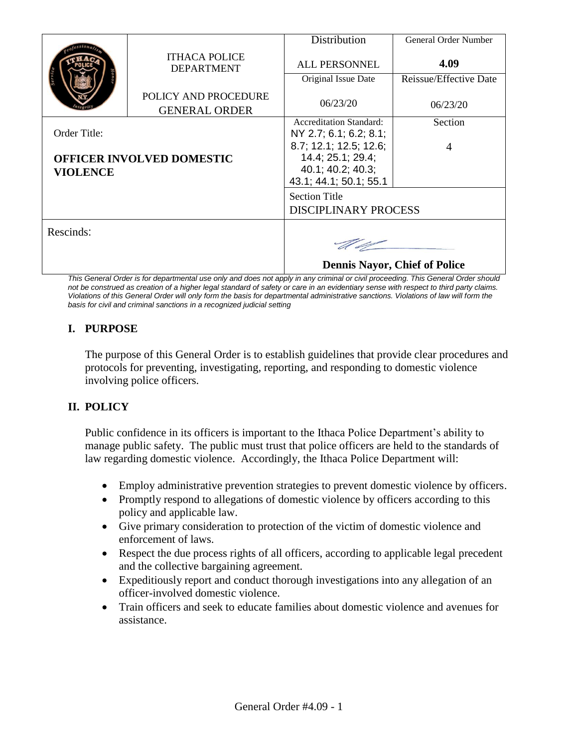|                                  |                                              | Distribution                         | General Order Number   |
|----------------------------------|----------------------------------------------|--------------------------------------|------------------------|
|                                  | <b>ITHACA POLICE</b><br><b>DEPARTMENT</b>    | <b>ALL PERSONNEL</b>                 | 4.09                   |
|                                  |                                              | Original Issue Date                  | Reissue/Effective Date |
|                                  | POLICY AND PROCEDURE<br><b>GENERAL ORDER</b> | 06/23/20                             | 06/23/20               |
|                                  |                                              | <b>Accreditation Standard:</b>       | Section                |
| Order Title:                     |                                              | NY 2.7; 6.1; 6.2; 8.1;               |                        |
|                                  |                                              | 8.7; 12.1; 12.5; 12.6;               | 4                      |
| <b>OFFICER INVOLVED DOMESTIC</b> |                                              | 14.4; 25.1; 29.4;                    |                        |
| <b>VIOLENCE</b>                  |                                              | 40.1; 40.2; 40.3;                    |                        |
|                                  |                                              | 43.1; 44.1; 50.1; 55.1               |                        |
|                                  |                                              | <b>Section Title</b>                 |                        |
|                                  |                                              | <b>DISCIPLINARY PROCESS</b>          |                        |
| Rescinds:                        |                                              |                                      |                        |
|                                  |                                              | <b>Dennis Nayor, Chief of Police</b> |                        |

*This General Order is for departmental use only and does not apply in any criminal or civil proceeding. This General Order should*  not be construed as creation of a higher legal standard of safety or care in an evidentiary sense with respect to third party claims. *Violations of this General Order will only form the basis for departmental administrative sanctions. Violations of law will form the basis for civil and criminal sanctions in a recognized judicial setting*

# **I. PURPOSE**

The purpose of this General Order is to establish guidelines that provide clear procedures and protocols for preventing, investigating, reporting, and responding to domestic violence involving police officers.

# **II. POLICY**

Public confidence in its officers is important to the Ithaca Police Department's ability to manage public safety. The public must trust that police officers are held to the standards of law regarding domestic violence. Accordingly, the Ithaca Police Department will:

- Employ administrative prevention strategies to prevent domestic violence by officers.
- Promptly respond to allegations of domestic violence by officers according to this policy and applicable law.
- Give primary consideration to protection of the victim of domestic violence and enforcement of laws.
- Respect the due process rights of all officers, according to applicable legal precedent and the collective bargaining agreement.
- Expeditiously report and conduct thorough investigations into any allegation of an officer-involved domestic violence.
- Train officers and seek to educate families about domestic violence and avenues for assistance.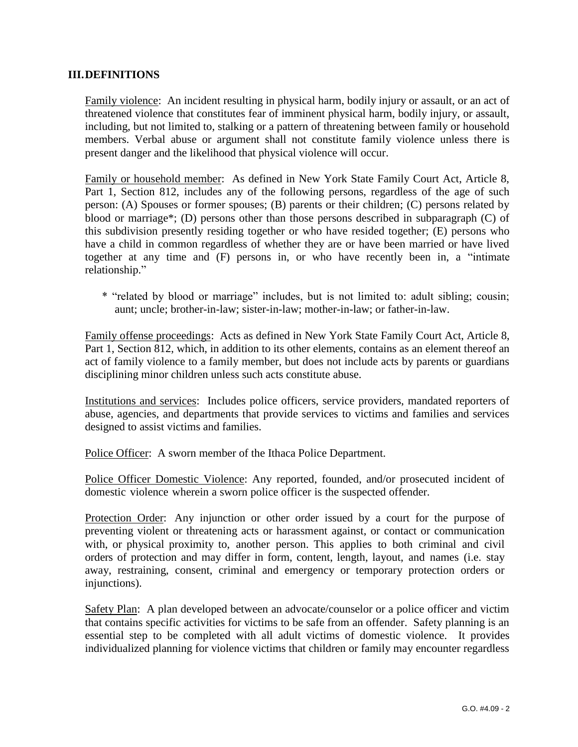### **III.DEFINITIONS**

Family violence: An incident resulting in physical harm, bodily injury or assault, or an act of threatened violence that constitutes fear of imminent physical harm, bodily injury, or assault, including, but not limited to, stalking or a pattern of threatening between family or household members. Verbal abuse or argument shall not constitute family violence unless there is present danger and the likelihood that physical violence will occur.

Family or household member: As defined in New York State Family Court Act, Article 8, Part 1, Section 812, includes any of the following persons, regardless of the age of such person: (A) Spouses or former spouses; (B) parents or their children; (C) persons related by blood or marriage\*; (D) persons other than those persons described in subparagraph (C) of this subdivision presently residing together or who have resided together; (E) persons who have a child in common regardless of whether they are or have been married or have lived together at any time and (F) persons in, or who have recently been in, a "intimate relationship."

\* "related by blood or marriage" includes, but is not limited to: adult sibling; cousin; aunt; uncle; brother-in-law; sister-in-law; mother-in-law; or father-in-law.

Family offense proceedings: Acts as defined in New York State Family Court Act, Article 8, Part 1, Section 812, which, in addition to its other elements, contains as an element thereof an act of family violence to a family member, but does not include acts by parents or guardians disciplining minor children unless such acts constitute abuse.

Institutions and services: Includes police officers, service providers, mandated reporters of abuse, agencies, and departments that provide services to victims and families and services designed to assist victims and families.

Police Officer: A sworn member of the Ithaca Police Department.

Police Officer Domestic Violence: Any reported, founded, and/or prosecuted incident of domestic violence wherein a sworn police officer is the suspected offender.

Protection Order: Any injunction or other order issued by a court for the purpose of preventing violent or threatening acts or harassment against, or contact or communication with, or physical proximity to, another person. This applies to both criminal and civil orders of protection and may differ in form, content, length, layout, and names (i.e. stay away, restraining, consent, criminal and emergency or temporary protection orders or injunctions).

Safety Plan: A plan developed between an advocate/counselor or a police officer and victim that contains specific activities for victims to be safe from an offender. Safety planning is an essential step to be completed with all adult victims of domestic violence. It provides individualized planning for violence victims that children or family may encounter regardless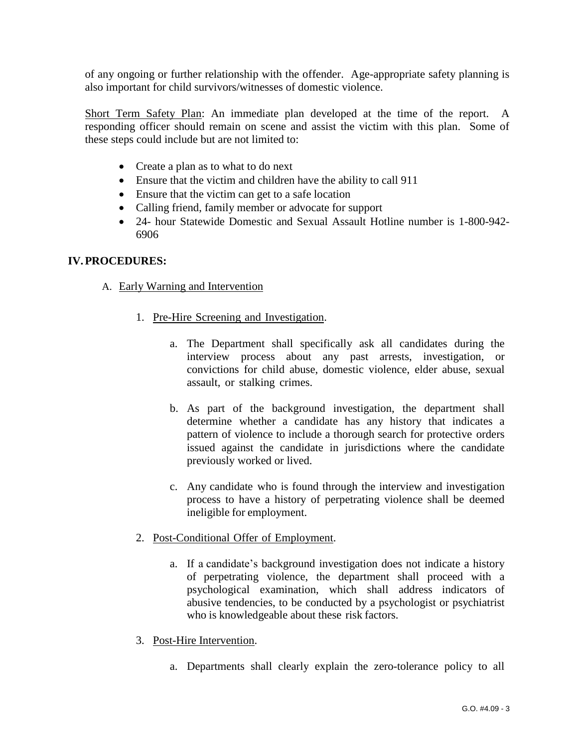of any ongoing or further relationship with the offender. Age-appropriate safety planning is also important for child survivors/witnesses of domestic violence.

Short Term Safety Plan: An immediate plan developed at the time of the report. A responding officer should remain on scene and assist the victim with this plan. Some of these steps could include but are not limited to:

- Create a plan as to what to do next
- Ensure that the victim and children have the ability to call 911
- Ensure that the victim can get to a safe location
- Calling friend, family member or advocate for support
- 24- hour Statewide Domestic and Sexual Assault Hotline number is 1-800-942- 6906

### **IV.PROCEDURES:**

- A. Early Warning and Intervention
	- 1. Pre-Hire Screening and Investigation.
		- a. The Department shall specifically ask all candidates during the interview process about any past arrests, investigation, or convictions for child abuse, domestic violence, elder abuse, sexual assault, or stalking crimes.
		- b. As part of the background investigation, the department shall determine whether a candidate has any history that indicates a pattern of violence to include a thorough search for protective orders issued against the candidate in jurisdictions where the candidate previously worked or lived.
		- c. Any candidate who is found through the interview and investigation process to have a history of perpetrating violence shall be deemed ineligible for employment.
	- 2. Post-Conditional Offer of Employment.
		- a. If a candidate's background investigation does not indicate a history of perpetrating violence, the department shall proceed with a psychological examination, which shall address indicators of abusive tendencies, to be conducted by a psychologist or psychiatrist who is knowledgeable about these risk factors.
	- 3. Post-Hire Intervention.
		- a. Departments shall clearly explain the zero-tolerance policy to all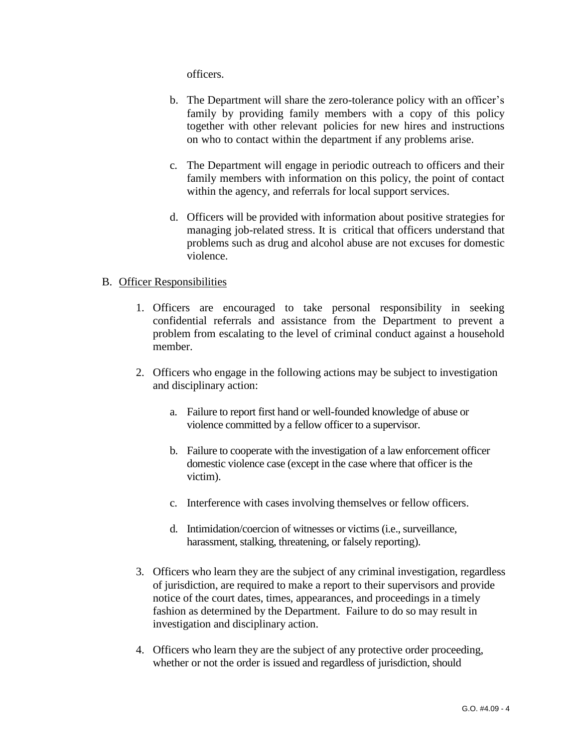officers.

- b. The Department will share the zero-tolerance policy with an officer's family by providing family members with a copy of this policy together with other relevant policies for new hires and instructions on who to contact within the department if any problems arise.
- c. The Department will engage in periodic outreach to officers and their family members with information on this policy, the point of contact within the agency, and referrals for local support services.
- d. Officers will be provided with information about positive strategies for managing job-related stress. It is critical that officers understand that problems such as drug and alcohol abuse are not excuses for domestic violence.

#### B. Officer Responsibilities

- 1. Officers are encouraged to take personal responsibility in seeking confidential referrals and assistance from the Department to prevent a problem from escalating to the level of criminal conduct against a household member.
- 2. Officers who engage in the following actions may be subject to investigation and disciplinary action:
	- a. Failure to report first hand or well-founded knowledge of abuse or violence committed by a fellow officer to a supervisor.
	- b. Failure to cooperate with the investigation of a law enforcement officer domestic violence case (except in the case where that officer is the victim).
	- c. Interference with cases involving themselves or fellow officers.
	- d. Intimidation/coercion of witnesses or victims (i.e., surveillance, harassment, stalking, threatening, or falsely reporting).
- 3. Officers who learn they are the subject of any criminal investigation, regardless of jurisdiction, are required to make a report to their supervisors and provide notice of the court dates, times, appearances, and proceedings in a timely fashion as determined by the Department. Failure to do so may result in investigation and disciplinary action.
- 4. Officers who learn they are the subject of any protective order proceeding, whether or not the order is issued and regardless of jurisdiction, should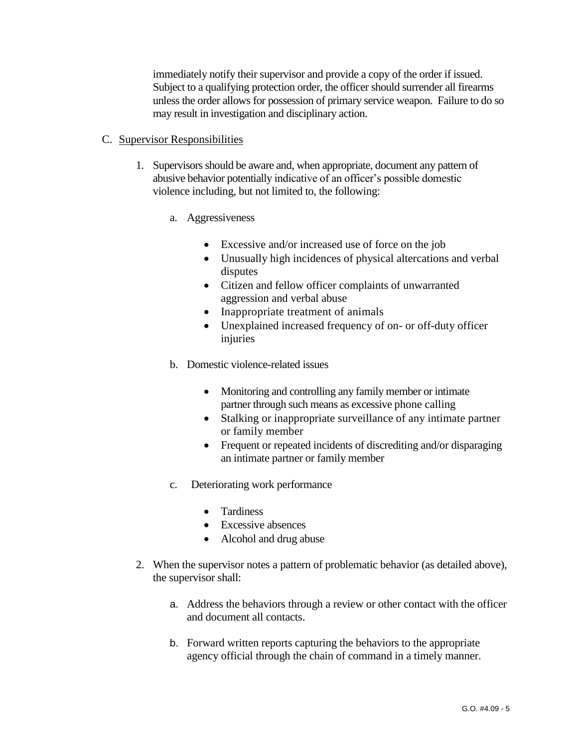immediately notify their supervisor and provide a copy of the order if issued. Subject to a qualifying protection order, the officer should surrender all firearms unless the order allows for possession of primary service weapon. Failure to do so may result in investigation and disciplinary action.

### C. Supervisor Responsibilities

- 1. Supervisors should be aware and, when appropriate, document any pattern of abusive behavior potentially indicative of an officer's possible domestic violence including, but not limited to, the following:
	- a. Aggressiveness
		- Excessive and/or increased use of force on the job
		- Unusually high incidences of physical altercations and verbal disputes
		- Citizen and fellow officer complaints of unwarranted aggression and verbal abuse
		- Inappropriate treatment of animals
		- Unexplained increased frequency of on- or off-duty officer injuries
	- b. Domestic violence-related issues
		- Monitoring and controlling any family member or intimate partner through such means as excessive phone calling
		- Stalking or inappropriate surveillance of any intimate partner or family member
		- Frequent or repeated incidents of discrediting and/or disparaging an intimate partner or family member
	- c. Deteriorating work performance
		- Tardiness
		- Excessive absences
		- Alcohol and drug abuse
- 2. When the supervisor notes a pattern of problematic behavior (as detailed above), the supervisor shall:
	- a. Address the behaviors through a review or other contact with the officer and document all contacts.
	- b. Forward written reports capturing the behaviors to the appropriate agency official through the chain of command in a timely manner.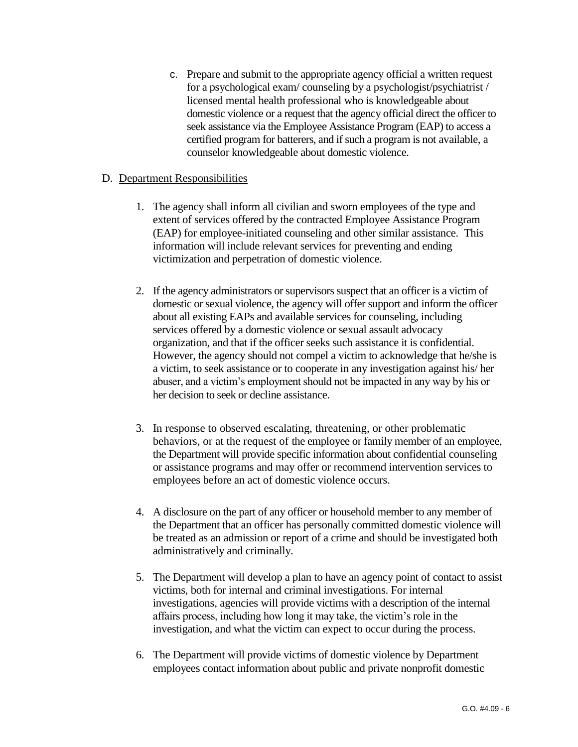c. Prepare and submit to the appropriate agency official a written request for a psychological exam/ counseling by a psychologist/psychiatrist / licensed mental health professional who is knowledgeable about domestic violence or a request that the agency official direct the officer to seek assistance via the Employee Assistance Program (EAP) to access a certified program for batterers, and if such a program is not available, a counselor knowledgeable about domestic violence.

### D. Department Responsibilities

- 1. The agency shall inform all civilian and sworn employees of the type and extent of services offered by the contracted Employee Assistance Program (EAP) for employee-initiated counseling and other similar assistance. This information will include relevant services for preventing and ending victimization and perpetration of domestic violence.
- 2. If the agency administrators or supervisors suspect that an officer is a victim of domestic or sexual violence, the agency will offer support and inform the officer about all existing EAPs and available services for counseling, including services offered by a domestic violence or sexual assault advocacy organization, and that if the officer seeks such assistance it is confidential. However, the agency should not compel a victim to acknowledge that he/she is a victim, to seek assistance or to cooperate in any investigation against his/ her abuser, and a victim's employment should not be impacted in any way by his or her decision to seek or decline assistance.
- 3. In response to observed escalating, threatening, or other problematic behaviors, or at the request of the employee or family member of an employee, the Department will provide specific information about confidential counseling or assistance programs and may offer or recommend intervention services to employees before an act of domestic violence occurs.
- 4. A disclosure on the part of any officer or household member to any member of the Department that an officer has personally committed domestic violence will be treated as an admission or report of a crime and should be investigated both administratively and criminally.
- 5. The Department will develop a plan to have an agency point of contact to assist victims, both for internal and criminal investigations. For internal investigations, agencies will provide victims with a description of the internal affairs process, including how long it may take, the victim's role in the investigation, and what the victim can expect to occur during the process.
- 6. The Department will provide victims of domestic violence by Department employees contact information about public and private nonprofit domestic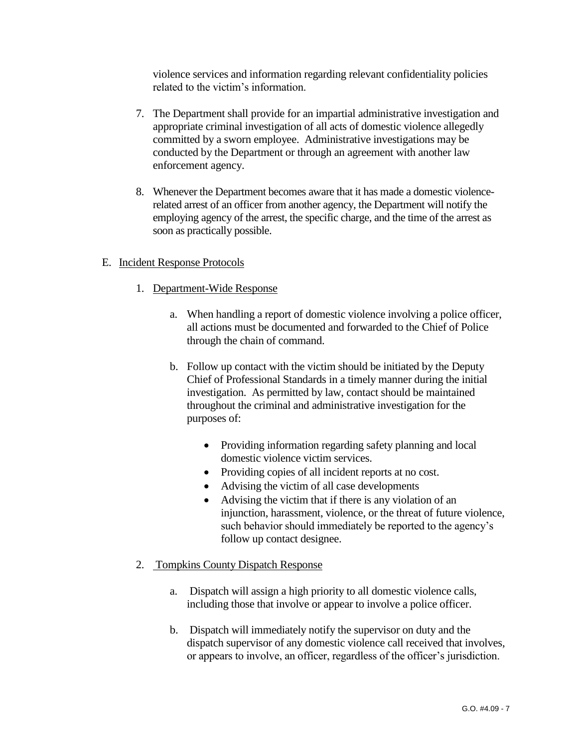violence services and information regarding relevant confidentiality policies related to the victim's information.

- 7. The Department shall provide for an impartial administrative investigation and appropriate criminal investigation of all acts of domestic violence allegedly committed by a sworn employee. Administrative investigations may be conducted by the Department or through an agreement with another law enforcement agency.
- 8. Whenever the Department becomes aware that it has made a domestic violencerelated arrest of an officer from another agency, the Department will notify the employing agency of the arrest, the specific charge, and the time of the arrest as soon as practically possible.

## E. Incident Response Protocols

- 1. Department-Wide Response
	- a. When handling a report of domestic violence involving a police officer, all actions must be documented and forwarded to the Chief of Police through the chain of command.
	- b. Follow up contact with the victim should be initiated by the Deputy Chief of Professional Standards in a timely manner during the initial investigation. As permitted by law, contact should be maintained throughout the criminal and administrative investigation for the purposes of:
		- Providing information regarding safety planning and local domestic violence victim services.
		- Providing copies of all incident reports at no cost.
		- Advising the victim of all case developments
		- Advising the victim that if there is any violation of an injunction, harassment, violence, or the threat of future violence, such behavior should immediately be reported to the agency's follow up contact designee.

### 2. Tompkins County Dispatch Response

- a. Dispatch will assign a high priority to all domestic violence calls, including those that involve or appear to involve a police officer.
- b. Dispatch will immediately notify the supervisor on duty and the dispatch supervisor of any domestic violence call received that involves, or appears to involve, an officer, regardless of the officer's jurisdiction.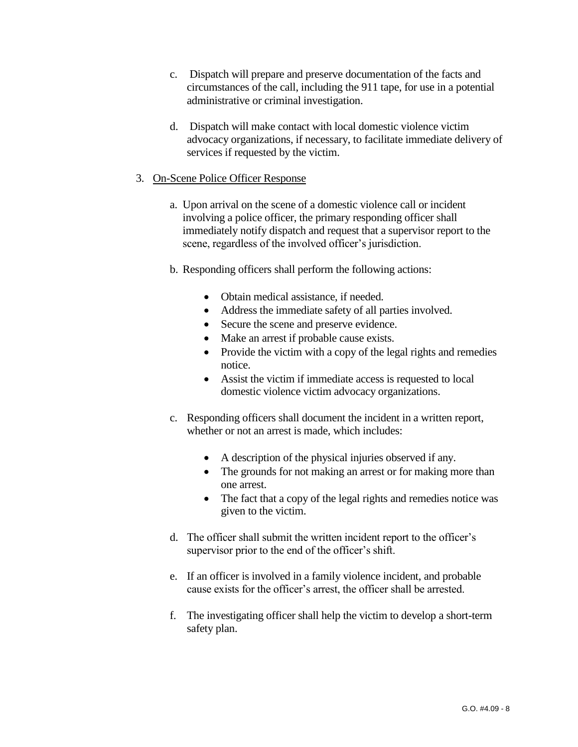- c. Dispatch will prepare and preserve documentation of the facts and circumstances of the call, including the 911 tape, for use in a potential administrative or criminal investigation.
- d. Dispatch will make contact with local domestic violence victim advocacy organizations, if necessary, to facilitate immediate delivery of services if requested by the victim.

## 3. On-Scene Police Officer Response

- a. Upon arrival on the scene of a domestic violence call or incident involving a police officer, the primary responding officer shall immediately notify dispatch and request that a supervisor report to the scene, regardless of the involved officer's jurisdiction.
- b. Responding officers shall perform the following actions:
	- Obtain medical assistance, if needed.
	- Address the immediate safety of all parties involved.
	- Secure the scene and preserve evidence.
	- Make an arrest if probable cause exists.
	- Provide the victim with a copy of the legal rights and remedies notice.
	- Assist the victim if immediate access is requested to local domestic violence victim advocacy organizations.
- c. Responding officers shall document the incident in a written report, whether or not an arrest is made, which includes:
	- A description of the physical injuries observed if any.
	- The grounds for not making an arrest or for making more than one arrest.
	- The fact that a copy of the legal rights and remedies notice was given to the victim.
- d. The officer shall submit the written incident report to the officer's supervisor prior to the end of the officer's shift.
- e. If an officer is involved in a family violence incident, and probable cause exists for the officer's arrest, the officer shall be arrested.
- f. The investigating officer shall help the victim to develop a short-term safety plan.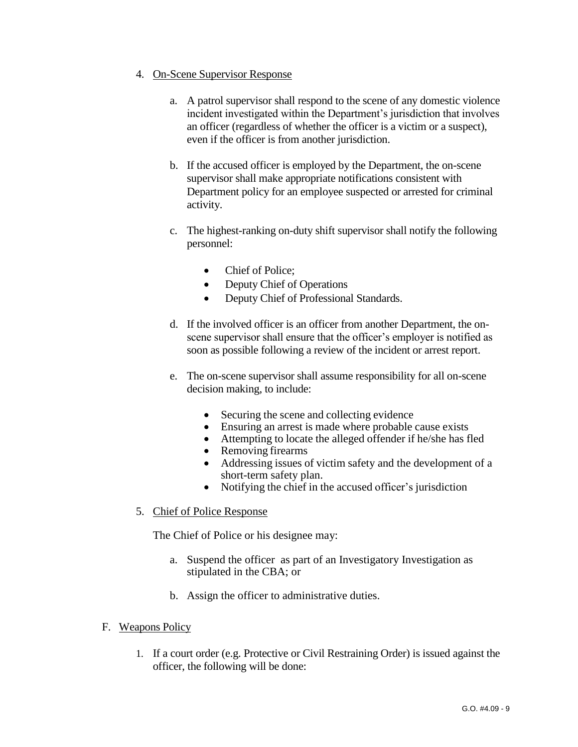### 4. On-Scene Supervisor Response

- a. A patrol supervisor shall respond to the scene of any domestic violence incident investigated within the Department's jurisdiction that involves an officer (regardless of whether the officer is a victim or a suspect), even if the officer is from another jurisdiction.
- b. If the accused officer is employed by the Department, the on-scene supervisor shall make appropriate notifications consistent with Department policy for an employee suspected or arrested for criminal activity.
- c. The highest-ranking on-duty shift supervisor shall notify the following personnel:
	- Chief of Police;
	- Deputy Chief of Operations
	- Deputy Chief of Professional Standards.
- d. If the involved officer is an officer from another Department, the onscene supervisor shall ensure that the officer's employer is notified as soon as possible following a review of the incident or arrest report.
- e. The on-scene supervisor shall assume responsibility for all on-scene decision making, to include:
	- Securing the scene and collecting evidence
	- Ensuring an arrest is made where probable cause exists
	- Attempting to locate the alleged offender if he/she has fled
	- Removing firearms
	- Addressing issues of victim safety and the development of a short-term safety plan.
	- Notifying the chief in the accused officer's jurisdiction
- 5. Chief of Police Response

The Chief of Police or his designee may:

- a. Suspend the officer as part of an Investigatory Investigation as stipulated in the CBA; or
- b. Assign the officer to administrative duties.
- F. Weapons Policy
	- 1. If a court order (e.g. Protective or Civil Restraining Order) is issued against the officer, the following will be done: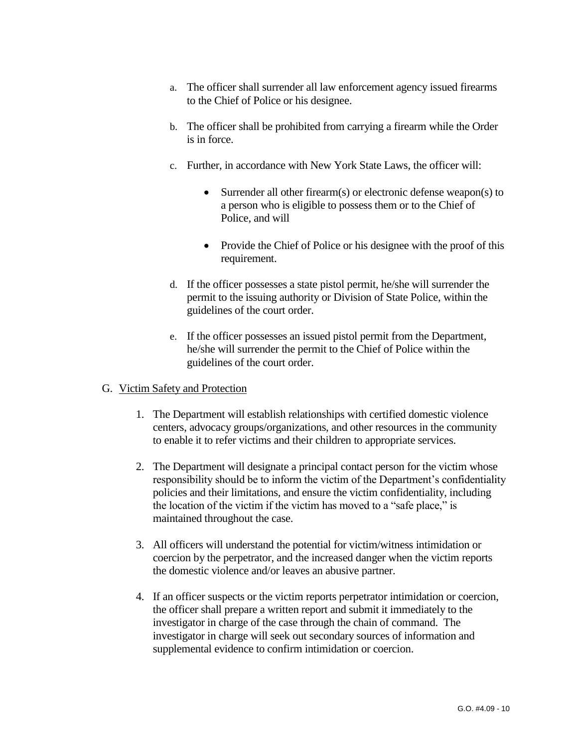- a. The officer shall surrender all law enforcement agency issued firearms to the Chief of Police or his designee.
- b. The officer shall be prohibited from carrying a firearm while the Order is in force.
- c. Further, in accordance with New York State Laws, the officer will:
	- Surrender all other firearm(s) or electronic defense weapon(s) to a person who is eligible to possess them or to the Chief of Police, and will
	- Provide the Chief of Police or his designee with the proof of this requirement.
- d. If the officer possesses a state pistol permit, he/she will surrender the permit to the issuing authority or Division of State Police, within the guidelines of the court order.
- e. If the officer possesses an issued pistol permit from the Department, he/she will surrender the permit to the Chief of Police within the guidelines of the court order.

### G. Victim Safety and Protection

- 1. The Department will establish relationships with certified domestic violence centers, advocacy groups/organizations, and other resources in the community to enable it to refer victims and their children to appropriate services.
- 2. The Department will designate a principal contact person for the victim whose responsibility should be to inform the victim of the Department's confidentiality policies and their limitations, and ensure the victim confidentiality, including the location of the victim if the victim has moved to a "safe place," is maintained throughout the case.
- 3. All officers will understand the potential for victim/witness intimidation or coercion by the perpetrator, and the increased danger when the victim reports the domestic violence and/or leaves an abusive partner.
- 4. If an officer suspects or the victim reports perpetrator intimidation or coercion, the officer shall prepare a written report and submit it immediately to the investigator in charge of the case through the chain of command. The investigator in charge will seek out secondary sources of information and supplemental evidence to confirm intimidation or coercion.